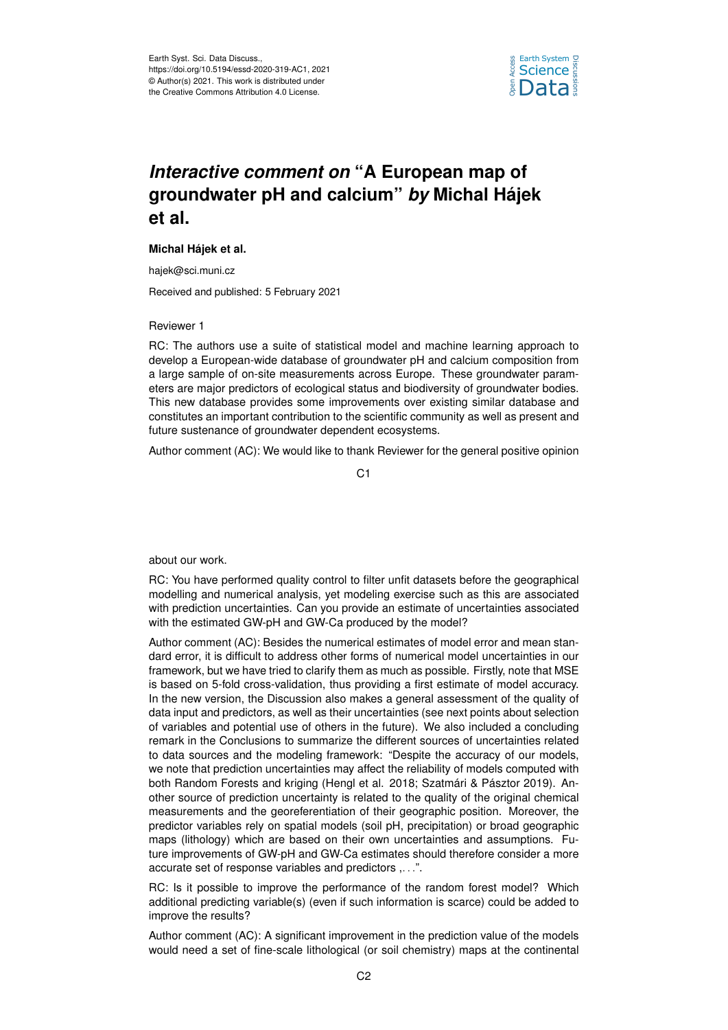

## *Interactive comment on* **"A European map of groundwater pH and calcium"** *by* **Michal Hájek et al.**

## **Michal Hájek et al.**

hajek@sci.muni.cz

Received and published: 5 February 2021

## Reviewer 1

RC: The authors use a suite of statistical model and machine learning approach to develop a European-wide database of groundwater pH and calcium composition from a large sample of on-site measurements across Europe. These groundwater parameters are major predictors of ecological status and biodiversity of groundwater bodies. This new database provides some improvements over existing similar database and constitutes an important contribution to the scientific community as well as present and future sustenance of groundwater dependent ecosystems.

Author comment (AC): We would like to thank Reviewer for the general positive opinion

C<sub>1</sub>

about our work.

RC: You have performed quality control to filter unfit datasets before the geographical modelling and numerical analysis, yet modeling exercise such as this are associated with prediction uncertainties. Can you provide an estimate of uncertainties associated with the estimated GW-pH and GW-Ca produced by the model?

Author comment (AC): Besides the numerical estimates of model error and mean standard error, it is difficult to address other forms of numerical model uncertainties in our framework, but we have tried to clarify them as much as possible. Firstly, note that MSE is based on 5-fold cross-validation, thus providing a first estimate of model accuracy. In the new version, the Discussion also makes a general assessment of the quality of data input and predictors, as well as their uncertainties (see next points about selection of variables and potential use of others in the future). We also included a concluding remark in the Conclusions to summarize the different sources of uncertainties related to data sources and the modeling framework: "Despite the accuracy of our models, we note that prediction uncertainties may affect the reliability of models computed with both Random Forests and kriging (Hengl et al. 2018; Szatmári & Pásztor 2019). Another source of prediction uncertainty is related to the quality of the original chemical measurements and the georeferentiation of their geographic position. Moreover, the predictor variables rely on spatial models (soil pH, precipitation) or broad geographic maps (lithology) which are based on their own uncertainties and assumptions. Future improvements of GW-pH and GW-Ca estimates should therefore consider a more accurate set of response variables and predictors ,. . .".

RC: Is it possible to improve the performance of the random forest model? Which additional predicting variable(s) (even if such information is scarce) could be added to improve the results?

Author comment (AC): A significant improvement in the prediction value of the models would need a set of fine-scale lithological (or soil chemistry) maps at the continental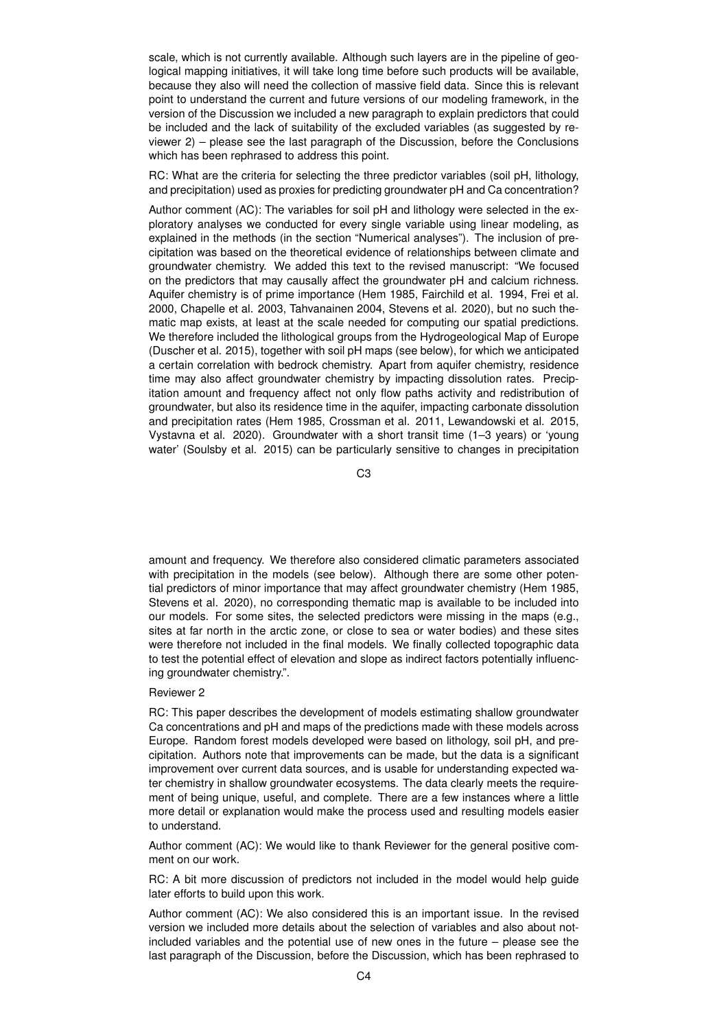scale, which is not currently available. Although such layers are in the pipeline of geological mapping initiatives, it will take long time before such products will be available, because they also will need the collection of massive field data. Since this is relevant point to understand the current and future versions of our modeling framework, in the version of the Discussion we included a new paragraph to explain predictors that could be included and the lack of suitability of the excluded variables (as suggested by reviewer 2) – please see the last paragraph of the Discussion, before the Conclusions which has been rephrased to address this point.

RC: What are the criteria for selecting the three predictor variables (soil pH, lithology, and precipitation) used as proxies for predicting groundwater pH and Ca concentration?

Author comment (AC): The variables for soil pH and lithology were selected in the exploratory analyses we conducted for every single variable using linear modeling, as explained in the methods (in the section "Numerical analyses"). The inclusion of precipitation was based on the theoretical evidence of relationships between climate and groundwater chemistry. We added this text to the revised manuscript: "We focused on the predictors that may causally affect the groundwater pH and calcium richness. Aquifer chemistry is of prime importance (Hem 1985, Fairchild et al. 1994, Frei et al. 2000, Chapelle et al. 2003, Tahvanainen 2004, Stevens et al. 2020), but no such thematic map exists, at least at the scale needed for computing our spatial predictions. We therefore included the lithological groups from the Hydrogeological Map of Europe (Duscher et al. 2015), together with soil pH maps (see below), for which we anticipated a certain correlation with bedrock chemistry. Apart from aquifer chemistry, residence time may also affect groundwater chemistry by impacting dissolution rates. Precipitation amount and frequency affect not only flow paths activity and redistribution of groundwater, but also its residence time in the aquifer, impacting carbonate dissolution and precipitation rates (Hem 1985, Crossman et al. 2011, Lewandowski et al. 2015, Vystavna et al. 2020). Groundwater with a short transit time (1–3 years) or 'young water' (Soulsby et al. 2015) can be particularly sensitive to changes in precipitation

C3

amount and frequency. We therefore also considered climatic parameters associated with precipitation in the models (see below). Although there are some other potential predictors of minor importance that may affect groundwater chemistry (Hem 1985, Stevens et al. 2020), no corresponding thematic map is available to be included into our models. For some sites, the selected predictors were missing in the maps (e.g., sites at far north in the arctic zone, or close to sea or water bodies) and these sites were therefore not included in the final models. We finally collected topographic data to test the potential effect of elevation and slope as indirect factors potentially influencing groundwater chemistry.".

## Reviewer 2

RC: This paper describes the development of models estimating shallow groundwater Ca concentrations and pH and maps of the predictions made with these models across Europe. Random forest models developed were based on lithology, soil pH, and precipitation. Authors note that improvements can be made, but the data is a significant improvement over current data sources, and is usable for understanding expected water chemistry in shallow groundwater ecosystems. The data clearly meets the requirement of being unique, useful, and complete. There are a few instances where a little more detail or explanation would make the process used and resulting models easier to understand.

Author comment (AC): We would like to thank Reviewer for the general positive comment on our work.

RC: A bit more discussion of predictors not included in the model would help guide later efforts to build upon this work.

Author comment (AC): We also considered this is an important issue. In the revised version we included more details about the selection of variables and also about notincluded variables and the potential use of new ones in the future – please see the last paragraph of the Discussion, before the Discussion, which has been rephrased to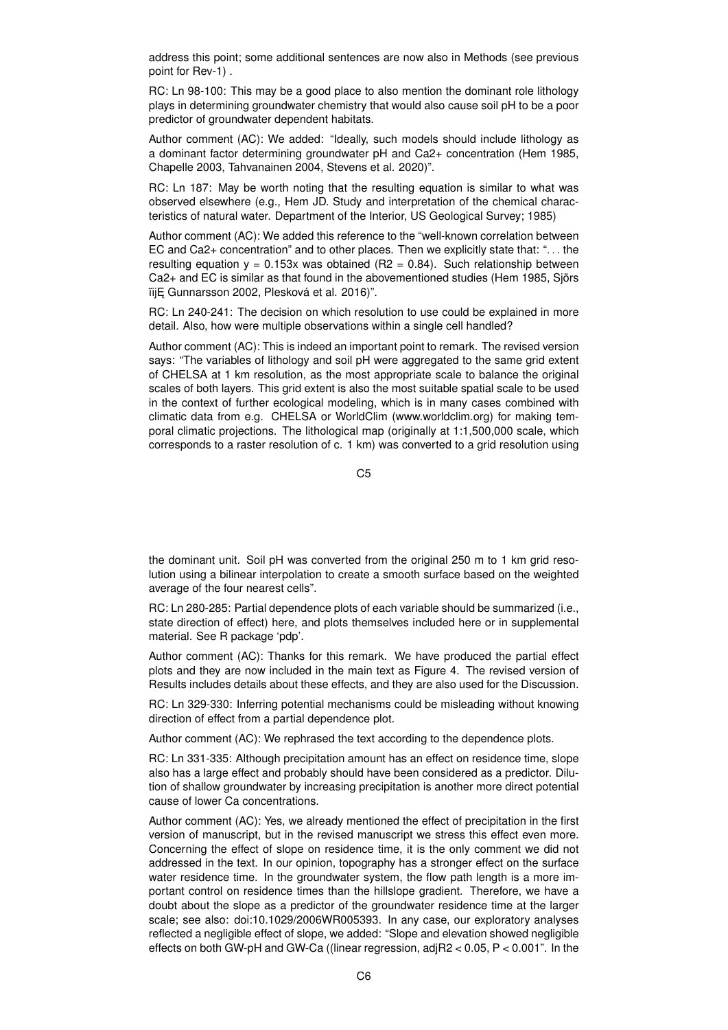address this point; some additional sentences are now also in Methods (see previous point for Rev-1) .

RC: Ln 98-100: This may be a good place to also mention the dominant role lithology plays in determining groundwater chemistry that would also cause soil pH to be a poor predictor of groundwater dependent habitats.

Author comment (AC): We added: "Ideally, such models should include lithology as a dominant factor determining groundwater pH and Ca2+ concentration (Hem 1985, Chapelle 2003, Tahvanainen 2004, Stevens et al. 2020)".

RC: Ln 187: May be worth noting that the resulting equation is similar to what was observed elsewhere (e.g., Hem JD. Study and interpretation of the chemical characteristics of natural water. Department of the Interior, US Geological Survey; 1985)

Author comment (AC): We added this reference to the "well-known correlation between EC and Ca2+ concentration" and to other places. Then we explicitly state that: ". . . the resulting equation  $y = 0.153x$  was obtained (R2 = 0.84). Such relationship between Ca2+ and EC is similar as that found in the abovementioned studies (Hem 1985, Sjörs ïij E Gunnarsson 2002, Plesková et al. 2016)".

RC: Ln 240-241: The decision on which resolution to use could be explained in more detail. Also, how were multiple observations within a single cell handled?

Author comment (AC): This is indeed an important point to remark. The revised version says: "The variables of lithology and soil pH were aggregated to the same grid extent of CHELSA at 1 km resolution, as the most appropriate scale to balance the original scales of both layers. This grid extent is also the most suitable spatial scale to be used in the context of further ecological modeling, which is in many cases combined with climatic data from e.g. CHELSA or WorldClim (www.worldclim.org) for making temporal climatic projections. The lithological map (originally at 1:1,500,000 scale, which corresponds to a raster resolution of c. 1 km) was converted to a grid resolution using

C5

the dominant unit. Soil pH was converted from the original 250 m to 1 km grid resolution using a bilinear interpolation to create a smooth surface based on the weighted average of the four nearest cells".

RC: Ln 280-285: Partial dependence plots of each variable should be summarized (i.e., state direction of effect) here, and plots themselves included here or in supplemental material. See R package 'pdp'.

Author comment (AC): Thanks for this remark. We have produced the partial effect plots and they are now included in the main text as Figure 4. The revised version of Results includes details about these effects, and they are also used for the Discussion.

RC: Ln 329-330: Inferring potential mechanisms could be misleading without knowing direction of effect from a partial dependence plot.

Author comment (AC): We rephrased the text according to the dependence plots.

RC: Ln 331-335: Although precipitation amount has an effect on residence time, slope also has a large effect and probably should have been considered as a predictor. Dilution of shallow groundwater by increasing precipitation is another more direct potential cause of lower Ca concentrations.

Author comment (AC): Yes, we already mentioned the effect of precipitation in the first version of manuscript, but in the revised manuscript we stress this effect even more. Concerning the effect of slope on residence time, it is the only comment we did not addressed in the text. In our opinion, topography has a stronger effect on the surface water residence time. In the groundwater system, the flow path length is a more important control on residence times than the hillslope gradient. Therefore, we have a doubt about the slope as a predictor of the groundwater residence time at the larger scale; see also: doi:10.1029/2006WR005393. In any case, our exploratory analyses reflected a negligible effect of slope, we added: "Slope and elevation showed negligible effects on both GW-pH and GW-Ca ((linear regression, adjR2 < 0.05, P < 0.001". In the